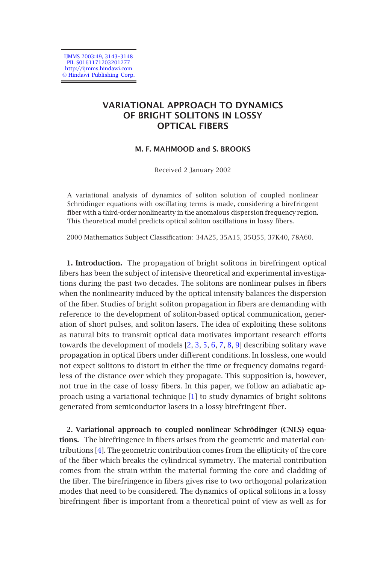IJMMS 2003:49, 3143–3148 PII. S0161171203201277 http://ijmms.hindawi.com © Hindawi Publishing Corp.

# **VARIATIONAL APPROACH TO DYNAMICS OF BRIGHT SOLITONS IN LOSSY OPTICAL FIBERS**

# **M. F. MAHMOOD and S. BROOKS**

Received 2 January 2002

A variational analysis of dynamics of soliton solution of coupled nonlinear Schrödinger equations with oscillating terms is made, considering a birefringent fiber with a third-order nonlinearity in the anomalous dispersion frequency region. This theoretical model predicts optical soliton oscillations in lossy fibers.

2000 Mathematics Subject Classification: 34A25, 35A15, 35Q55, 37K40, 78A60.

**1. Introduction.** The propagation of bright solitons in birefringent optical fibers has been the subject of intensive theoretical and experimental investigations during the past two decades. The solitons are nonlinear pulses in fibers when the nonlinearity induced by the optical intensity balances the dispersion of the fiber. Studies of bright soliton p[ro](#page-4-0)pagation in fibers are demanding with reference to the development of soliton-based optical communication, generation of short pulses, and soliton lasers. The idea of exploiting these solitons as natural bits to transmit optical data motivates important research efforts towards the development of models [2, 3, 5, 6, 7, 8, 9] describing solitary wave propagation in optical fibers under different conditions. In lossless, one would not expect [so](#page-5-0)litons to distort in either the time or frequency domains regardless of the distance over which they propagate. This supposition is, however, not true in the case of lossy fibers. In this paper, we follow an adiabatic approach using a variational technique [1] to study dynamics of bright solitons generated from semiconductor lasers in a lossy birefringent fiber.

**2. Variational approach to coupled nonlinear Schrödinger (CNLS) equations.** The birefringence in fibers arises from the geometric and material contributions [4]. The geometric contribution comes from the ellipticity of the core of the fiber which breaks the cylindrical symmetry. The material contribution comes from the strain within the material forming the core and cladding of the fiber. The birefringence in fibers gives rise to two orthogonal polarization modes that need to be considered. The dynamics of optical solitons in a lossy birefringent fiber is important from a theoretical point of view as well as for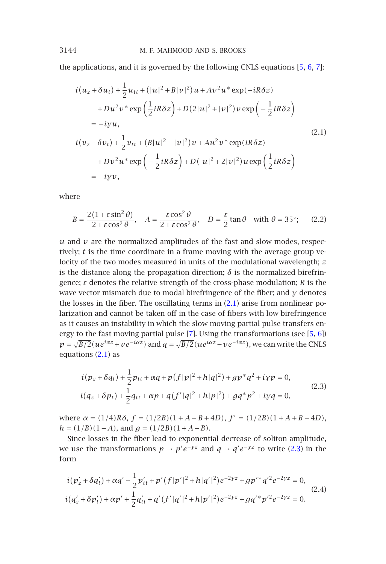### 3144 M. F. MAHMOOD AND S. BROOKS

the applications, and it is governed by the following CNLS equations [5, 6, 7]:

<span id="page-1-0"></span>
$$
i(u_z + \delta u_t) + \frac{1}{2}u_{tt} + (|u|^2 + B|v|^2)u + Av^2u^* \exp(-iR\delta z)
$$
  
+  $Du^2v^* \exp\left(\frac{1}{2}iR\delta z\right) + D(2|u|^2 + |v|^2)v \exp\left(-\frac{1}{2}iR\delta z\right)$   
=  $-iyu$ ,  

$$
i(v_z - \delta v_t) + \frac{1}{2}v_{tt} + (B|u|^2 + |v|^2)v + Au^2v^* \exp(iR\delta z)
$$
  
+  $Dv^2u^* \exp\left(-\frac{1}{2}iR\delta z\right) + D(|u|^2 + 2|v|^2)u \exp\left(\frac{1}{2}iR\delta z\right)$   
=  $-iyv$ , (2.1)

where

$$
B = \frac{2(1 + \varepsilon \sin^2 \theta)}{2 + \varepsilon \cos^2 \theta}, \quad A = \frac{\varepsilon \cos^2 \theta}{2 + \varepsilon \cos^2 \theta}, \quad D = \frac{\varepsilon}{2} \tan \theta \quad \text{with } \theta = 35^\circ; \tag{2.2}
$$

 $u$  and  $v$  are the normalized amplitu[de](#page-5-1)s of the fast and slow modes, r[esp](#page-5-2)[ec](#page-5-3)tively; *t* is the time coordinate in a frame moving with the average group velocity of t[he tw](#page-1-0)o modes measured in units of the modulational wavelength; *z* is the distance along the propagation direction;  $\delta$  is the normalized birefringence; *ε* denotes the relative strength of the cross-phase modulation; *R* is the wave vector mismatch due to modal birefringence of the fiber; and *γ* denotes the losses in the fiber. The oscillating terms in  $(2.1)$  arise from nonlinear polarization and cannot be taken off in the case of fibers with low birefringence as it causes an instability in which the slow moving partial pulse transfers energy to the fast moving partial pulse [7]. Using the transformations (see [5, 6])  $p = \sqrt{B/2}(ue^{i\alpha z} + ve^{-i\alpha z})$  and  $q = \sqrt{B/2}(ue^{i\alpha z} - ve^{-i\alpha z})$ , we can write the CNLS equations (2.1) as

<span id="page-1-1"></span>
$$
i(p_z + \delta q_t) + \frac{1}{2}p_{tt} + \alpha q + p(f|p|^2 + h|q|^2) + gp^*q^2 + i\gamma p = 0,
$$
  
\n
$$
i(q_z + \delta p_t) + \frac{1}{2}q_{tt} + \alpha p + q(f'|q|^2 + h|p|^2) + g q^* p^2 + i\gamma q = 0,
$$
\n(2.3)

 $where \alpha = (1/4)R\delta, f = (1/2B)(1 + A + B + 4D), f' = (1/2B)(1 + A + B - 4D),$  $h = (1/B)(1-A)$ , and  $g = (1/2B)(1+A-B)$ .

Since losses in the fiber lead to exponential decrease of soliton amplitude, we use the transformations  $p \rightarrow p' e^{-\gamma z}$  and  $q \rightarrow q' e^{-\gamma z}$  to write (2.3) in the form

$$
i(p'_z + \delta q'_t) + \alpha q' + \frac{1}{2} p'_{tt} + p'(f|p'|^2 + h|q'|^2) e^{-2yz} + g p'^* q'^2 e^{-2yz} = 0,
$$
  
(2.4)  

$$
i(q'_z + \delta p'_t) + \alpha p' + \frac{1}{2} q'_{tt} + q'(f'|q'|^2 + h|p'|^2) e^{-2yz} + g q'^* p'^2 e^{-2yz} = 0.
$$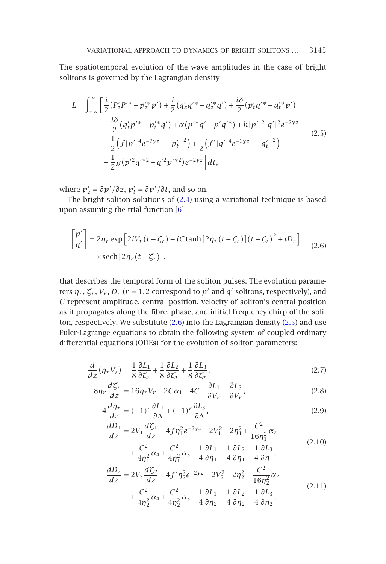# <span id="page-2-1"></span>VARIATIONAL APPROACH TO DYNAMICS OF BRIGHT SOLITONS *...* 3145

The spatiotemporal evolution of the wave amplitudes in the case of bright solitons is governed by the Lagrangian density

<span id="page-2-0"></span>
$$
L = \int_{-\infty}^{\infty} \left[ \frac{i}{2} (P'_2 P'^* - p'^*_2 p') + \frac{i}{2} (q'_2 q'^* - q'^*_2 q') + \frac{i \delta}{2} (p'_i q'^* - q'^*_i p') \right. \\ \left. + \frac{i \delta}{2} (q'_i p'^* - p'^*_i q') + \alpha (p'^* q' + p' q'^*) + h|p'|^2 |q'|^2 e^{-2yz} \right. \\ \left. + \frac{1}{2} (f|p'|^4 e^{-2yz} - |p'_i|^2) + \frac{1}{2} (f'|q'|^4 e^{-2yz} - |q'_i|^2) \right. \\ \left. + \frac{1}{2} g(p'^2 q'^*^2 + q'^2 p'^*^2) e^{-2yz} \right] dt,
$$
 (2.5)

where  $p'_z = \partial p'/\partial z$ ,  $p'_t = \partial p'/\partial t$ , and so on.

The bright soliton solutions of (2.4) using a variational technique is based upon assuming the trial function [6]

<span id="page-2-2"></span>
$$
\begin{bmatrix} p' \\ q' \end{bmatrix} = 2\eta_r \exp\left[2iV_r(t-\zeta_r) - iC \tanh\left[2\eta_r(t-\zeta_r)\right]\left(t-\zeta_r\right)^2 + iD_r\right] \times \operatorname{sech}\left[2\eta_r(t-\zeta_r)\right],\tag{2.6}
$$

that describes the temporal form of the soliton pulses. The evolution parameters  $\eta_r$ ,  $\zeta_r$ ,  $V_r$ ,  $D_r$  ( $r = 1,2$  correspond to  $p'$  and  $q'$  solitons, respectively), and *C* represent amplitude, central position, velocity of soliton's central position as it propagates along the fibre, phase, and initial frequency chirp of the soliton, respectively. We substitute (2.6) into the Lagrangian density (2.5) and use Euler-Lagrange equations to obtain the following system of coupled ordinary differential equations (ODEs) for the evolution of soliton parameters:

$$
\frac{d}{dz}(\eta_r V_r) = \frac{1}{8} \frac{\partial L_1}{\partial \zeta_r} + \frac{1}{8} \frac{\partial L_2}{\partial \zeta_r} + \frac{1}{8} \frac{\partial L_3}{\partial \zeta_r},\tag{2.7}
$$

$$
8\eta_r \frac{d\zeta_r}{dz} = 16\eta_r V_r - 2C\alpha_1 - 4C - \frac{\partial L_1}{\partial V_r} - \frac{\partial L_3}{\partial V_r},\tag{2.8}
$$

$$
4\frac{d\eta_r}{dz} = (-1)^r \frac{\partial L_1}{\partial \Lambda} + (-1)^r \frac{\partial L_3}{\partial \Lambda},
$$
\n(2.9)

$$
\frac{dD_1}{dz} = 2V_1 \frac{d\zeta_1}{dz} + 4f\eta_1^2 e^{-2yz} - 2V_1^2 - 2\eta_1^2 + \frac{C^2}{16\eta_1^2} \alpha_2 \n+ \frac{C^2}{4\eta_1^2} \alpha_4 + \frac{C^2}{4\eta_1^2} \alpha_5 + \frac{1}{4} \frac{\partial L_1}{\partial \eta_1} + \frac{1}{4} \frac{\partial L_2}{\partial \eta_1} + \frac{1}{4} \frac{\partial L_3}{\partial \eta_1},
$$
\n(2.10)

$$
\frac{dD_2}{dz} = 2V_2 \frac{d\zeta_2}{dz} + 4f'\eta_2^2 e^{-2yz} - 2V_2^2 - 2\eta_2^2 + \frac{C^2}{16\eta_2^2} \alpha_2 \n+ \frac{C^2}{4\eta_2^2} \alpha_4 + \frac{C^2}{4\eta_2^2} \alpha_5 + \frac{1}{4} \frac{\partial L_1}{\partial \eta_2} + \frac{1}{4} \frac{\partial L_2}{\partial \eta_2} + \frac{1}{4} \frac{\partial L_3}{\partial \eta_2},
$$
\n(2.11)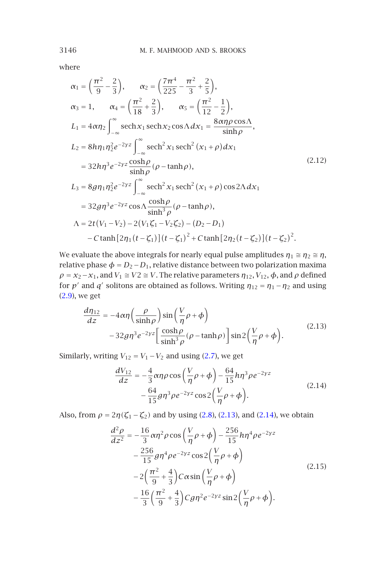3146 M. F. MAHMOOD AND S. BROOKS

where

$$
\alpha_{1} = \left(\frac{\pi^{2}}{9} - \frac{2}{3}\right), \qquad \alpha_{2} = \left(\frac{7\pi^{4}}{225} - \frac{\pi^{2}}{3} + \frac{2}{5}\right),
$$
\n
$$
\alpha_{3} = 1, \qquad \alpha_{4} = \left(\frac{\pi^{2}}{18} + \frac{2}{3}\right), \qquad \alpha_{5} = \left(\frac{\pi^{2}}{12} - \frac{1}{2}\right),
$$
\n
$$
L_{1} = 4\alpha\eta_{2} \int_{-\infty}^{\infty} \text{sech}x_{1} \text{sech}x_{2} \cos\Lambda \, dx_{1} = \frac{8\alpha\eta\rho\cos\Lambda}{\sinh\rho},
$$
\n
$$
L_{2} = 8h\eta_{1}\eta_{2}^{2}e^{-2yz} \int_{-\infty}^{\infty} \text{sech}^{2}x_{1} \text{sech}^{2}(x_{1} + \rho)dx_{1}
$$
\n
$$
= 32h\eta^{3}e^{-2yz} \frac{\cosh\rho}{\sinh\rho} (\rho - \tanh\rho),
$$
\n
$$
L_{3} = 8g\eta_{1}\eta_{2}^{2}e^{-2yz} \int_{-\infty}^{\infty} \text{sech}^{2}x_{1} \text{sech}^{2}(x_{1} + \rho) \cos 2\Lambda \, dx_{1}
$$
\n
$$
= 32g\eta^{3}e^{-2yz} \cos\Lambda \frac{\cosh\rho}{\sinh^{3}\rho} (\rho - \tanh\rho),
$$
\n
$$
\Lambda = 2t(V_{1} - V_{2}) - 2(V_{1}\zeta_{1} - V_{2}\zeta_{2}) - (D_{2} - D_{1})
$$
\n
$$
-C \tanh[2\eta_{1}(t - \zeta_{1})](t - \zeta_{1})^{2} + C \tanh[2\eta_{2}(t - \zeta_{2})](t - \zeta_{2})^{2}.
$$
\n(2.12)

We evaluate the above integrals for nearly equal pulse amplitudes  $\eta_1 \cong \eta_2 \cong \eta$ , relative phase  $\phi = D_2 - D_1$ , relative distan[ce be](#page-2-2)tween two polarization maxima  $\rho = x_2 - x_1$ , and  $V_1 \cong V_2 \cong V$ . The relative parameters  $\eta_{12}$ ,  $V_{12}$ ,  $\phi$ , and  $\rho$  defined for *p'* and *q'* solitons are obtained as follows. Writing  $\eta_{12} = \eta_1 - \eta_2$  and using (2.9), we get

<span id="page-3-0"></span>
$$
\frac{d\eta_{12}}{dz} = -4\alpha\eta \left(\frac{\rho}{\sinh\rho}\right) \sin\left(\frac{V}{\eta}\rho + \phi\right) \n-32g\eta^3 e^{-2\gamma z} \left[\frac{\cosh\rho}{\sinh^3\rho}(\rho - \tanh\rho)\right] \sin 2\left(\frac{V}{\eta}\rho + \phi\right).
$$
\n(2.13)

Similarly, writing  $V_{12} = V_1 - V_2$  and using (2.7), we get

$$
\frac{dV_{12}}{dz} = -\frac{4}{3}\alpha\eta\rho\cos\left(\frac{V}{\eta}\rho + \phi\right) - \frac{64}{15}h\eta^3\rho e^{-2yz} \n- \frac{64}{15}g\eta^3\rho e^{-2yz}\cos 2\left(\frac{V}{\eta}\rho + \phi\right).
$$
\n(2.14)

Also, from  $\rho = 2\eta(\zeta_1 - \zeta_2)$  and by using (2.8), (2.13), and (2.14), we obtain

$$
\frac{d^2 \rho}{dz^2} = -\frac{16}{3} \alpha \eta^2 \rho \cos\left(\frac{V}{\eta}\rho + \phi\right) - \frac{256}{15} h \eta^4 \rho e^{-2yz} \n- \frac{256}{15} g \eta^4 \rho e^{-2yz} \cos 2\left(\frac{V}{\eta}\rho + \phi\right) \n- 2\left(\frac{\pi^2}{9} + \frac{4}{3}\right) C \alpha \sin\left(\frac{V}{\eta}\rho + \phi\right) \n- \frac{16}{3} \left(\frac{\pi^2}{9} + \frac{4}{3}\right) C g \eta^2 e^{-2yz} \sin 2\left(\frac{V}{\eta}\rho + \phi\right).
$$
\n(2.15)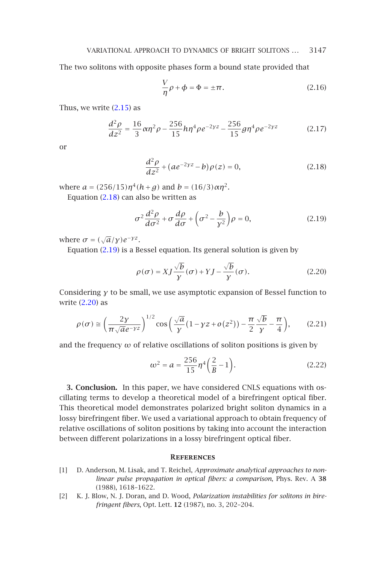#### VARIATIONAL APPROACH TO DYNAMICS OF BRIGHT SOLITONS *...* 3147

The two solitons with opposite phases form a bound state provided that

<span id="page-4-1"></span>
$$
\frac{V}{\eta}\rho + \phi = \Phi = \pm \pi.
$$
 (2.16)

Thus, we write  $(2.15)$  as

$$
\frac{d^2\rho}{dz^2} = \frac{16}{3}\alpha\eta^2\rho - \frac{256}{15}h\eta^4\rho e^{-2yz} - \frac{256}{15}g\eta^4\rho e^{-2yz} \tag{2.17}
$$

or

$$
\frac{d^2\rho}{dz^2} + (ae^{-2yz} - b)\rho(z) = 0,
$$
\n(2.18)

where *a* =  $(256/15)\eta^4(h+g)$  and *b* =  $(16/3)\alpha\eta^2$ .

Equation  $(2.18)$  can also be written as

$$
\sigma^2 \frac{d^2 \rho}{d\sigma^2} + \sigma \frac{d\rho}{d\sigma} + \left(\sigma^2 - \frac{b}{\gamma^2}\right)\rho = 0,
$$
\n(2.19)

where  $\sigma = (\sqrt{a}/\gamma)e^{-\gamma z}$ .

Equation (2.19) is a Bessel equation. Its general solution is given by

$$
\rho(\sigma) = XJ \frac{\sqrt{b}}{\gamma}(\sigma) + YJ - \frac{\sqrt{b}}{\gamma}(\sigma). \tag{2.20}
$$

Considering *γ* to be small, we use asymptotic expansion of Bessel function to write (2.20) as

$$
\rho(\sigma) \cong \left(\frac{2\gamma}{\pi\sqrt{a}e^{-\gamma z}}\right)^{1/2} \cos\left(\frac{\sqrt{a}}{\gamma}\left(1-\gamma z + o\left(z^2\right)\right) - \frac{\pi}{2}\frac{\sqrt{b}}{\gamma} - \frac{\pi}{4}\right),\tag{2.21}
$$

and the frequency *ω* of relative oscillations of soliton positions is given by

$$
\omega^2 = a = \frac{256}{15} \eta^4 \left(\frac{2}{B} - 1\right). \tag{2.22}
$$

<span id="page-4-0"></span>**3. Conclusion.** In this paper, we have considered CNLS equations with oscillating terms to develop a theoretical model of a birefringent optical fiber. This theoretical model demonstrates polarized bright soliton dynamics in a lossy birefringent fiber. We used a variational approach to obtain frequency of relative oscillations of soliton positions by taking into account the interaction between different polarizations in a lossy birefringent optical fiber.

# **References**

- [1] D. Anderson, M. Lisak, and T. Reichel, *Approximate analytical approaches to nonlinear pulse propagation in optical fibers: a comparison*, Phys. Rev. A **38** (1988), 1618–1622.
- [2] K. J. Blow, N. J. Doran, and D. Wood, *Polarization instabilities for solitons in birefringent fibers*, Opt. Lett. **12** (1987), no. 3, 202–204.